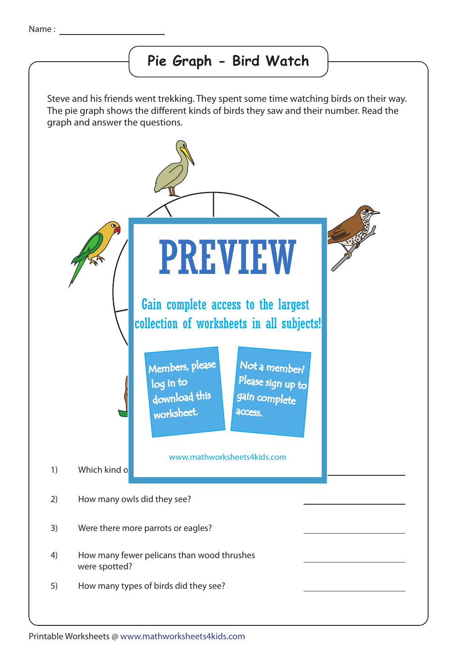## **Pie Graph - Bird Watch**

Steve and his friends went trekking. They spent some time watching birds on their way. The pie graph shows the different kinds of birds they saw and their number. Read the graph and answer the questions.